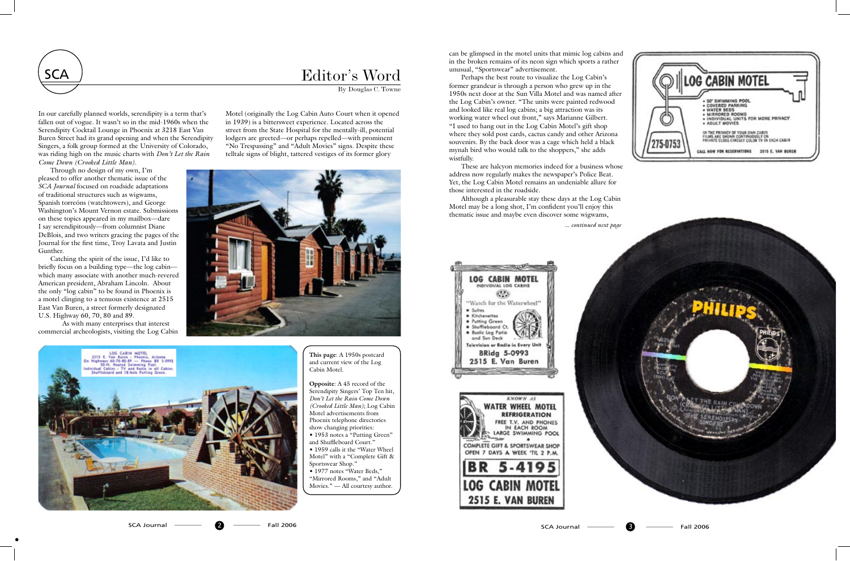## SCA dittor's Word

•

By Douglas C. Towne

In our carefully planned worlds, serendipity is a term that's fallen out of vogue. It wasn't so in the mid-1960s when the Serendipity Cocktail Lounge in Phoenix at 3218 East Van Buren Street had its grand opening and when the Serendipity Singers, a folk group formed at the University of Colorado, was riding high on the music charts with *Don't Let the Rain Come Down (Crooked Little Man)*.

Through no design of my own, I'm pleased to offer another thematic issue of the *SCA Journal* focused on roadside adaptations of traditional structures such as wigwams, Spanish torreóns (watchtowers), and George Washington's Mount Vernon estate. Submissions on these topics appeared in my mailbox—dare I say serendipitously—from columnist Diane DeBlois, and two writers gracing the pages of the Journal for the first time, Troy Lavata and Justin Gunther.

 Catching the spirit of the issue, I'd like to briefly focus on a building type—the log cabin which many associate with another much-revered American president, Abraham Lincoln. About the only "log cabin" to be found in Phoenix is a motel clinging to a tenuous existence at 2515 East Van Buren, a street formerly designated U.S. Highway 60, 70, 80 and 89.

 As with many enterprises that interest commercial archeologists, visiting the Log Cabin Motel (originally the Log Cabin Auto Court when it opened in 1939) is a bittersweet experience. Located across the street from the State Hospital for the mentally-ill, potential lodgers are greeted—or perhaps repelled—with prominent "No Trespassing" and "Adult Movies" signs. Despite these telltale signs of blight, tattered vestiges of its former glory





**This page**: A 1950s postcard and current view of the Log Cabin Motel.

**Opposite**: A 45 record of the Serendipity Singers' Top Ten hit, *Don't Let the Rain Come Down (Crooked Little Man)*; Log Cabin Motel advertisements from Phoenix telephone directories show changing priorities:

- 1953 notes a "Putting Green" and Shuffleboard Court." • 1959 calls it the "Water Wheel
- Motel" with a "Complete Gift & Sportswear Shop." • 1977 notes "Water Beds,"
- "Mirrored Rooms," and "Adult Movies." — All courtesy author.

can be glimpsed in the motel units that mimic log cabins and in the broken remains of its neon sign which sports a rather unusual, "Sportswear" advertisement.

 Perhaps the best route to visualize the Log Cabin's former grandeur is through a person who grew up in the 1950s next door at the Sun Villa Motel and was named after the Log Cabin's owner. "The units were painted redwood and looked like real log cabins; a big attraction was its working water wheel out front," says Marianne Gilbert. "I used to hang out in the Log Cabin Motel's gift shop where they sold post cards, cactus candy and other Arizona souvenirs. By the back door was a cage which held a black mynah bird who would talk to the shoppers," she adds wistfully.

These are halcyon memories indeed for a business whose address now regularly makes the newspaper's Police Beat. Yet, the Log Cabin Motel remains an undeniable allure for those interested in the roadside.

 Although a pleasurable stay these days at the Log Cabin Motel may be a long shot, I'm confident you'll enjoy this thematic issue and maybe even discover some wigwams,

*... continued next page*



 $SCA$  Journal  $\begin{array}{cccc} \multicolumn{3}{c}{} & \multicolumn{3}{c}{} & \multicolumn{3}{c}{} & \multicolumn{3}{c}{} & \multicolumn{3}{c}{} & \multicolumn{3}{c}{} & \multicolumn{3}{c}{} & \multicolumn{3}{c}{} & \multicolumn{3}{c}{} & \multicolumn{3}{c}{} & \multicolumn{3}{c}{} & \multicolumn{3}{c}{} & \multicolumn{3}{c}{} & \multicolumn{3}{c}{} & \multicolumn{3}{c}{} & \multicolumn{3}{c}{} & \multicolumn{3}{c}{} & \multicolumn{3}{c}{} & \mult$